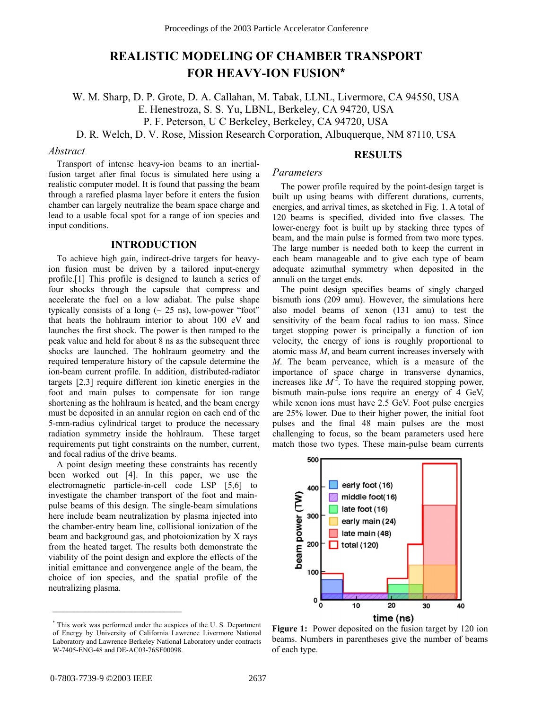# **REALISTIC MODELING OF CHAMBER TRANSPORT FOR HEAVY-ION FUSION\***

W. M. Sharp, D. P. Grote, D. A. Callahan, M. Tabak, LLNL, Livermore, CA 94550, USA E. Henestroza, S. S. Yu, LBNL, Berkeley, CA 94720, USA P. F. Peterson, U C Berkeley, Berkeley, CA 94720, USA D. R. Welch, D. V. Rose, Mission Research Corporation, Albuquerque, NM 87110, USA

#### *Abstract*

**RESULTS** 

Transport of intense heavy-ion beams to an inertialfusion target after final focus is simulated here using a realistic computer model. It is found that passing the beam through a rarefied plasma layer before it enters the fusion chamber can largely neutralize the beam space charge and lead to a usable focal spot for a range of ion species and input conditions.

## **INTRODUCTION**

To achieve high gain, indirect-drive targets for heavyion fusion must be driven by a tailored input-energy profile.[1] This profile is designed to launch a series of four shocks through the capsule that compress and accelerate the fuel on a low adiabat. The pulse shape typically consists of a long  $(\sim 25 \text{ ns})$ , low-power "foot" that heats the hohlraum interior to about 100 eV and launches the first shock. The power is then ramped to the peak value and held for about 8 ns as the subsequent three shocks are launched. The hohlraum geometry and the required temperature history of the capsule determine the ion-beam current profile. In addition, distributed-radiator targets [2,3] require different ion kinetic energies in the foot and main pulses to compensate for ion range shortening as the hohlraum is heated, and the beam energy must be deposited in an annular region on each end of the 5-mm-radius cylindrical target to produce the necessary radiation symmetry inside the hohlraum. These target requirements put tight constraints on the number, current, and focal radius of the drive beams.

A point design meeting these constraints has recently been worked out [4]. In this paper, we use the electromagnetic particle-in-cell code LSP [5,6] to investigate the chamber transport of the foot and mainpulse beams of this design. The single-beam simulations here include beam neutralization by plasma injected into the chamber-entry beam line, collisional ionization of the beam and background gas, and photoionization by X rays from the heated target. The results both demonstrate the viability of the point design and explore the effects of the initial emittance and convergence angle of the beam, the choice of ion species, and the spatial profile of the neutralizing plasma.

# *Parameters*

The power profile required by the point-design target is built up using beams with different durations, currents, energies, and arrival times, as sketched in Fig. 1. A total of 120 beams is specified, divided into five classes. The lower-energy foot is built up by stacking three types of beam, and the main pulse is formed from two more types. The large number is needed both to keep the current in each beam manageable and to give each type of beam adequate azimuthal symmetry when deposited in the annuli on the target ends.

The point design specifies beams of singly charged bismuth ions (209 amu). However, the simulations here also model beams of xenon (131 amu) to test the sensitivity of the beam focal radius to ion mass. Since target stopping power is principally a function of ion velocity, the energy of ions is roughly proportional to atomic mass *M*, and beam current increases inversely with *M*. The beam perveance, which is a measure of the importance of space charge in transverse dynamics, increases like  $M^2$ . To have the required stopping power, bismuth main-pulse ions require an energy of 4 GeV, while xenon ions must have 2.5 GeV. Foot pulse energies are 25% lower. Due to their higher power, the initial foot pulses and the final 48 main pulses are the most challenging to focus, so the beam parameters used here match those two types. These main-pulse beam currents



**Figure 1:** Power deposited on the fusion target by 120 ion beams. Numbers in parentheses give the number of beams of each type.

\_\_\_\_\_\_\_\_\_\_\_\_\_\_\_\_\_\_\_\_\_\_\_\_\_\_\_\_\_\_\_\_\_\_\_\_

<sup>\*</sup> This work was performed under the auspices of the U. S. Department of Energy by University of California Lawrence Livermore National Laboratory and Lawrence Berkeley National Laboratory under contracts W-7405-ENG-48 and DE-AC03-76SF00098.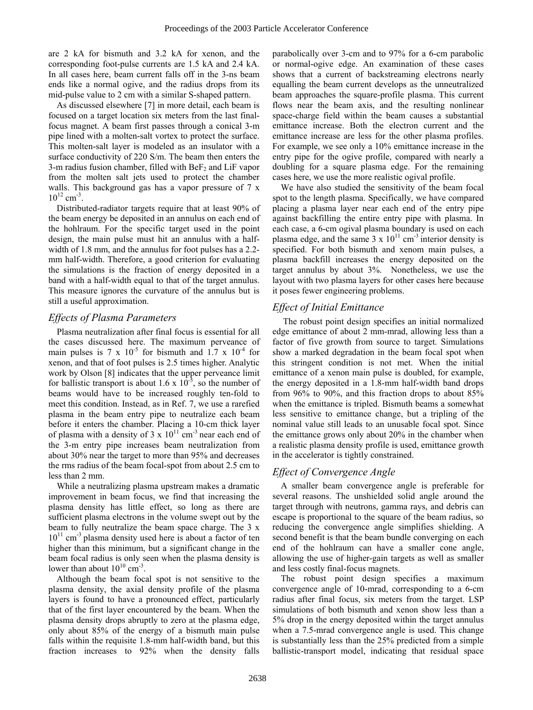are 2 kA for bismuth and 3.2 kA for xenon, and the corresponding foot-pulse currents are 1.5 kA and 2.4 kA. In all cases here, beam current falls off in the 3-ns beam ends like a normal ogive, and the radius drops from its mid-pulse value to 2 cm with a similar S-shaped pattern.

As discussed elsewhere [7] in more detail, each beam is focused on a target location six meters from the last finalfocus magnet. A beam first passes through a conical 3-m pipe lined with a molten-salt vortex to protect the surface. This molten-salt layer is modeled as an insulator with a surface conductivity of 220 S/m. The beam then enters the 3-m radius fusion chamber, filled with  $Bef_2$  and LiF vapor from the molten salt jets used to protect the chamber walls. This background gas has a vapor pressure of 7 x  $10^{12}$  cm<sup>-3</sup>.

Distributed-radiator targets require that at least 90% of the beam energy be deposited in an annulus on each end of the hohlraum. For the specific target used in the point design, the main pulse must hit an annulus with a halfwidth of 1.8 mm, and the annulus for foot pulses has a 2.2 mm half-width. Therefore, a good criterion for evaluating the simulations is the fraction of energy deposited in a band with a half-width equal to that of the target annulus. This measure ignores the curvature of the annulus but is still a useful approximation.

## *Effects of Plasma Parameters*

Plasma neutralization after final focus is essential for all the cases discussed here. The maximum perveance of main pulses is 7 x  $10^{-5}$  for bismuth and 1.7 x  $10^{-4}$  for xenon, and that of foot pulses is 2.5 times higher. Analytic work by Olson [8] indicates that the upper perveance limit for ballistic transport is about 1.6 x  $10^{-5}$ , so the number of beams would have to be increased roughly ten-fold to meet this condition. Instead, as in Ref. 7, we use a rarefied plasma in the beam entry pipe to neutralize each beam before it enters the chamber. Placing a 10-cm thick layer of plasma with a density of 3 x  $10^{11}$  cm<sup>-3</sup> near each end of the 3-m entry pipe increases beam neutralization from about 30% near the target to more than 95% and decreases the rms radius of the beam focal-spot from about 2.5 cm to less than 2 mm.

While a neutralizing plasma upstream makes a dramatic improvement in beam focus, we find that increasing the plasma density has little effect, so long as there are sufficient plasma electrons in the volume swept out by the beam to fully neutralize the beam space charge. The 3 x  $10^{11}$  cm<sup>-3</sup> plasma density used here is about a factor of ten higher than this minimum, but a significant change in the beam focal radius is only seen when the plasma density is lower than about  $10^{10}$  cm<sup>-3</sup>.

Although the beam focal spot is not sensitive to the plasma density, the axial density profile of the plasma layers is found to have a pronounced effect, particularly that of the first layer encountered by the beam. When the plasma density drops abruptly to zero at the plasma edge, only about 85% of the energy of a bismuth main pulse falls within the requisite 1.8-mm half-width band, but this fraction increases to 92% when the density falls

parabolically over 3-cm and to 97% for a 6-cm parabolic or normal-ogive edge. An examination of these cases shows that a current of backstreaming electrons nearly equalling the beam current develops as the unneutralized beam approaches the square-profile plasma. This current flows near the beam axis, and the resulting nonlinear space-charge field within the beam causes a substantial emittance increase. Both the electron current and the emittance increase are less for the other plasma profiles. For example, we see only a 10% emittance increase in the entry pipe for the ogive profile, compared with nearly a doubling for a square plasma edge. For the remaining cases here, we use the more realistic ogival profile.

We have also studied the sensitivity of the beam focal spot to the length plasma. Specifically, we have compared placing a plasma layer near each end of the entry pipe against backfilling the entire entry pipe with plasma. In each case, a 6-cm ogival plasma boundary is used on each plasma edge, and the same  $3 \times 10^{11}$  cm<sup>-3</sup> interior density is specified. For both bismuth and xenom main pulses, a plasma backfill increases the energy deposited on the target annulus by about 3%. Nonetheless, we use the layout with two plasma layers for other cases here because it poses fewer engineering problems.

# *Effect of Initial Emittance*

 The robust point design specifies an initial normalized edge emittance of about 2 mm-mrad, allowing less than a factor of five growth from source to target. Simulations show a marked degradation in the beam focal spot when this stringent condition is not met. When the initial emittance of a xenon main pulse is doubled, for example, the energy deposited in a 1.8-mm half-width band drops from 96% to 90%, and this fraction drops to about 85% when the emittance is tripled. Bismuth beams a somewhat less sensitive to emittance change, but a tripling of the nominal value still leads to an unusable focal spot. Since the emittance grows only about 20% in the chamber when a realistic plasma density profile is used, emittance growth in the accelerator is tightly constrained.

# *Effect of Convergence Angle*

A smaller beam convergence angle is preferable for several reasons. The unshielded solid angle around the target through with neutrons, gamma rays, and debris can escape is proportional to the square of the beam radius, so reducing the convergence angle simplifies shielding. A second benefit is that the beam bundle converging on each end of the hohlraum can have a smaller cone angle, allowing the use of higher-gain targets as well as smaller and less costly final-focus magnets.

The robust point design specifies a maximum convergence angle of 10-mrad, corresponding to a 6-cm radius after final focus, six meters from the target. LSP simulations of both bismuth and xenon show less than a 5% drop in the energy deposited within the target annulus when a 7.5-mrad convergence angle is used. This change is substantially less than the 25% predicted from a simple ballistic-transport model, indicating that residual space